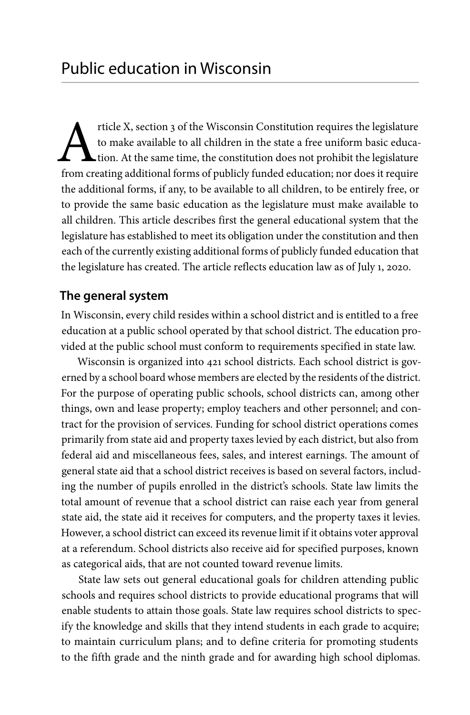Tricle X, section 3 of the Wisconsin Constitution requires the legislature<br>to make available to all children in the state a free uniform basic educa-<br>tion. At the same time, the constitution does not prohibit the legislatu to make available to all children in the state a free uniform basic education. At the same time, the constitution does not prohibit the legislature from creating additional forms of publicly funded education; nor does it require the additional forms, if any, to be available to all children, to be entirely free, or to provide the same basic education as the legislature must make available to all children. This article describes first the general educational system that the legislature has established to meet its obligation under the constitution and then each of the currently existing additional forms of publicly funded education that the legislature has created. The article reflects education law as of July 1, 2020.

# **The general system**

In Wisconsin, every child resides within a school district and is entitled to a free education at a public school operated by that school district. The education provided at the public school must conform to requirements specified in state law.

Wisconsin is organized into 421 school districts. Each school district is governed by a school board whose members are elected by the residents of the district. For the purpose of operating public schools, school districts can, among other things, own and lease property; employ teachers and other personnel; and contract for the provision of services. Funding for school district operations comes primarily from state aid and property taxes levied by each district, but also from federal aid and miscellaneous fees, sales, and interest earnings. The amount of general state aid that a school district receives is based on several factors, including the number of pupils enrolled in the district's schools. State law limits the total amount of revenue that a school district can raise each year from general state aid, the state aid it receives for computers, and the property taxes it levies. However, a school district can exceed its revenue limit if it obtains voter approval at a referendum. School districts also receive aid for specified purposes, known as categorical aids, that are not counted toward revenue limits.

State law sets out general educational goals for children attending public schools and requires school districts to provide educational programs that will enable students to attain those goals. State law requires school districts to specify the knowledge and skills that they intend students in each grade to acquire; to maintain curriculum plans; and to define criteria for promoting students to the fifth grade and the ninth grade and for awarding high school diplomas.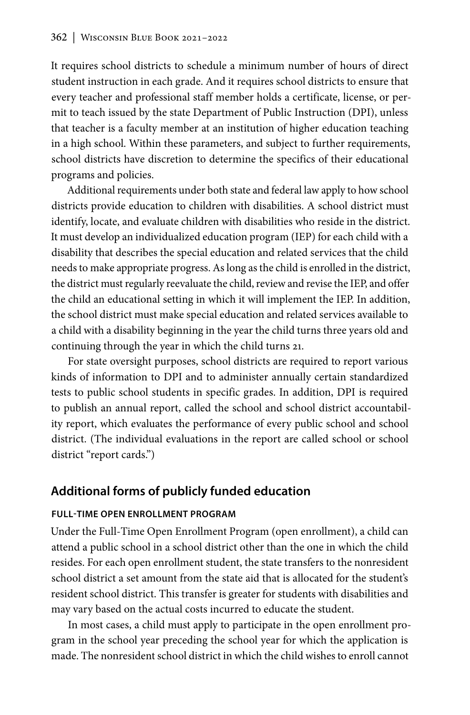It requires school districts to schedule a minimum number of hours of direct student instruction in each grade. And it requires school districts to ensure that every teacher and professional staff member holds a certificate, license, or permit to teach issued by the state Department of Public Instruction (DPI), unless that teacher is a faculty member at an institution of higher education teaching in a high school. Within these parameters, and subject to further requirements, school districts have discretion to determine the specifics of their educational programs and policies.

Additional requirements under both state and federal law apply to how school districts provide education to children with disabilities. A school district must identify, locate, and evaluate children with disabilities who reside in the district. It must develop an individualized education program (IEP) for each child with a disability that describes the special education and related services that the child needs to make appropriate progress. As long as the child is enrolled in the district, the district must regularly reevaluate the child, review and revise the IEP, and offer the child an educational setting in which it will implement the IEP. In addition, the school district must make special education and related services available to a child with a disability beginning in the year the child turns three years old and continuing through the year in which the child turns 21.

For state oversight purposes, school districts are required to report various kinds of information to DPI and to administer annually certain standardized tests to public school students in specific grades. In addition, DPI is required to publish an annual report, called the school and school district accountability report, which evaluates the performance of every public school and school district. (The individual evaluations in the report are called school or school district "report cards.")

# **Additional forms of publicly funded education**

#### **FULL-TIME OPEN ENROLLMENT PROGRAM**

Under the Full-Time Open Enrollment Program (open enrollment), a child can attend a public school in a school district other than the one in which the child resides. For each open enrollment student, the state transfers to the nonresident school district a set amount from the state aid that is allocated for the student's resident school district. This transfer is greater for students with disabilities and may vary based on the actual costs incurred to educate the student.

In most cases, a child must apply to participate in the open enrollment program in the school year preceding the school year for which the application is made. The nonresident school district in which the child wishes to enroll cannot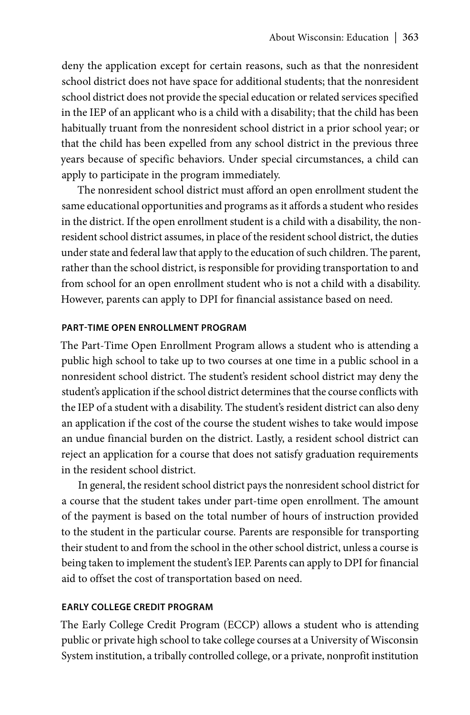deny the application except for certain reasons, such as that the nonresident school district does not have space for additional students; that the nonresident school district does not provide the special education or related services specified in the IEP of an applicant who is a child with a disability; that the child has been habitually truant from the nonresident school district in a prior school year; or that the child has been expelled from any school district in the previous three years because of specific behaviors. Under special circumstances, a child can apply to participate in the program immediately.

The nonresident school district must afford an open enrollment student the same educational opportunities and programs as it affords a student who resides in the district. If the open enrollment student is a child with a disability, the nonresident school district assumes, in place of the resident school district, the duties under state and federal law that apply to the education of such children. The parent, rather than the school district, is responsible for providing transportation to and from school for an open enrollment student who is not a child with a disability. However, parents can apply to DPI for financial assistance based on need.

### **PART-TIME OPEN ENROLLMENT PROGRAM**

The Part-Time Open Enrollment Program allows a student who is attending a public high school to take up to two courses at one time in a public school in a nonresident school district. The student's resident school district may deny the student's application if the school district determines that the course conflicts with the IEP of a student with a disability. The student's resident district can also deny an application if the cost of the course the student wishes to take would impose an undue financial burden on the district. Lastly, a resident school district can reject an application for a course that does not satisfy graduation requirements in the resident school district.

In general, the resident school district pays the nonresident school district for a course that the student takes under part-time open enrollment. The amount of the payment is based on the total number of hours of instruction provided to the student in the particular course. Parents are responsible for transporting their student to and from the school in the other school district, unless a course is being taken to implement the student's IEP. Parents can apply to DPI for financial aid to offset the cost of transportation based on need.

### **EARLY COLLEGE CREDIT PROGRAM**

The Early College Credit Program (ECCP) allows a student who is attending public or private high school to take college courses at a University of Wisconsin System institution, a tribally controlled college, or a private, nonprofit institution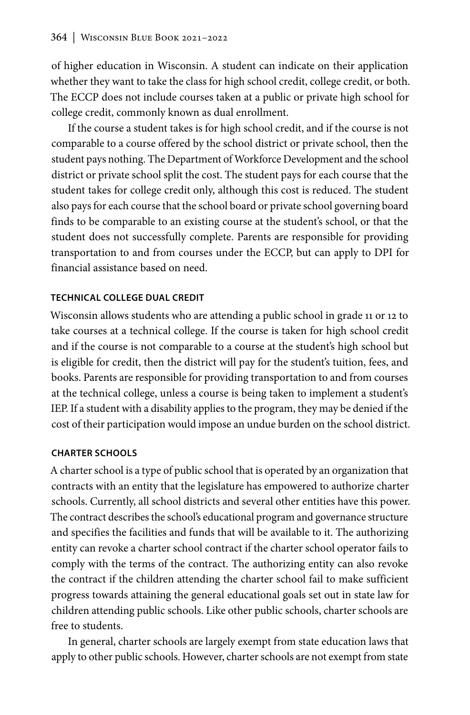of higher education in Wisconsin. A student can indicate on their application whether they want to take the class for high school credit, college credit, or both. The ECCP does not include courses taken at a public or private high school for college credit, commonly known as dual enrollment.

If the course a student takes is for high school credit, and if the course is not comparable to a course offered by the school district or private school, then the student pays nothing. The Department of Workforce Development and the school district or private school split the cost. The student pays for each course that the student takes for college credit only, although this cost is reduced. The student also pays for each course that the school board or private school governing board finds to be comparable to an existing course at the student's school, or that the student does not successfully complete. Parents are responsible for providing transportation to and from courses under the ECCP, but can apply to DPI for financial assistance based on need.

## **TECHNICAL COLLEGE DUAL CREDIT**

Wisconsin allows students who are attending a public school in grade 11 or 12 to take courses at a technical college. If the course is taken for high school credit and if the course is not comparable to a course at the student's high school but is eligible for credit, then the district will pay for the student's tuition, fees, and books. Parents are responsible for providing transportation to and from courses at the technical college, unless a course is being taken to implement a student's IEP. If a student with a disability applies to the program, they may be denied if the cost of their participation would impose an undue burden on the school district.

### **CHARTER SCHOOLS**

A charter school is a type of public school that is operated by an organization that contracts with an entity that the legislature has empowered to authorize charter schools. Currently, all school districts and several other entities have this power. The contract describes the school's educational program and governance structure and specifies the facilities and funds that will be available to it. The authorizing entity can revoke a charter school contract if the charter school operator fails to comply with the terms of the contract. The authorizing entity can also revoke the contract if the children attending the charter school fail to make sufficient progress towards attaining the general educational goals set out in state law for children attending public schools. Like other public schools, charter schools are free to students.

In general, charter schools are largely exempt from state education laws that apply to other public schools. However, charter schools are not exempt from state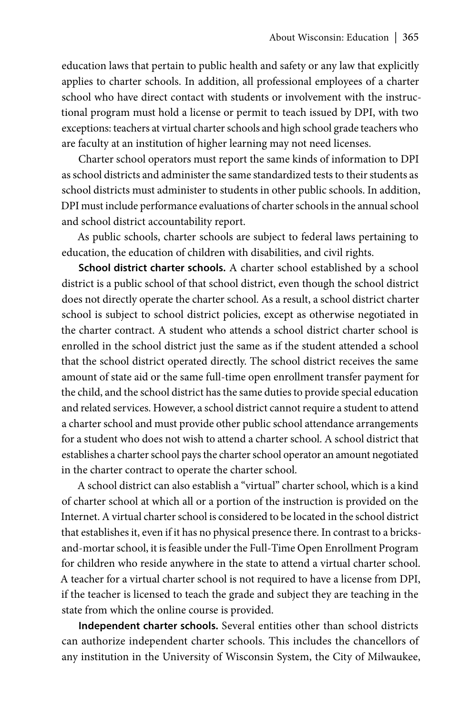education laws that pertain to public health and safety or any law that explicitly applies to charter schools. In addition, all professional employees of a charter school who have direct contact with students or involvement with the instructional program must hold a license or permit to teach issued by DPI, with two exceptions: teachers at virtual charter schools and high school grade teachers who are faculty at an institution of higher learning may not need licenses.

Charter school operators must report the same kinds of information to DPI as school districts and administer the same standardized tests to their students as school districts must administer to students in other public schools. In addition, DPI must include performance evaluations of charter schools in the annual school and school district accountability report.

As public schools, charter schools are subject to federal laws pertaining to education, the education of children with disabilities, and civil rights.

**School district charter schools.** A charter school established by a school district is a public school of that school district, even though the school district does not directly operate the charter school. As a result, a school district charter school is subject to school district policies, except as otherwise negotiated in the charter contract. A student who attends a school district charter school is enrolled in the school district just the same as if the student attended a school that the school district operated directly. The school district receives the same amount of state aid or the same full-time open enrollment transfer payment for the child, and the school district has the same duties to provide special education and related services. However, a school district cannot require a student to attend a charter school and must provide other public school attendance arrangements for a student who does not wish to attend a charter school. A school district that establishes a charter school pays the charter school operator an amount negotiated in the charter contract to operate the charter school.

A school district can also establish a "virtual" charter school, which is a kind of charter school at which all or a portion of the instruction is provided on the Internet. A virtual charter school is considered to be located in the school district that establishes it, even if it has no physical presence there. In contrast to a bricksand-mortar school, it is feasible under the Full-Time Open Enrollment Program for children who reside anywhere in the state to attend a virtual charter school. A teacher for a virtual charter school is not required to have a license from DPI, if the teacher is licensed to teach the grade and subject they are teaching in the state from which the online course is provided.

**Independent charter schools.** Several entities other than school districts can authorize independent charter schools. This includes the chancellors of any institution in the University of Wisconsin System, the City of Milwaukee,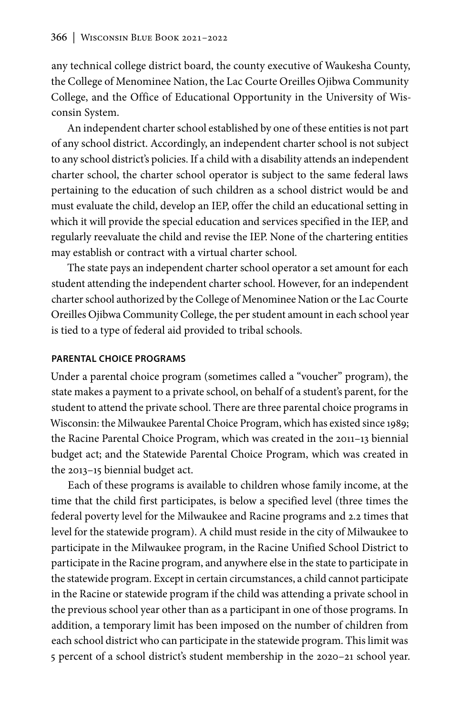any technical college district board, the county executive of Waukesha County, the College of Menominee Nation, the Lac Courte Oreilles Ojibwa Community College, and the Office of Educational Opportunity in the University of Wisconsin System.

An independent charter school established by one of these entities is not part of any school district. Accordingly, an independent charter school is not subject to any school district's policies. If a child with a disability attends an independent charter school, the charter school operator is subject to the same federal laws pertaining to the education of such children as a school district would be and must evaluate the child, develop an IEP, offer the child an educational setting in which it will provide the special education and services specified in the IEP, and regularly reevaluate the child and revise the IEP. None of the chartering entities may establish or contract with a virtual charter school.

The state pays an independent charter school operator a set amount for each student attending the independent charter school. However, for an independent charter school authorized by the College of Menominee Nation or the Lac Courte Oreilles Ojibwa Community College, the per student amount in each school year is tied to a type of federal aid provided to tribal schools.

#### **PARENTAL CHOICE PROGRAMS**

Under a parental choice program (sometimes called a "voucher" program), the state makes a payment to a private school, on behalf of a student's parent, for the student to attend the private school. There are three parental choice programs in Wisconsin: the Milwaukee Parental Choice Program, which has existed since 1989; the Racine Parental Choice Program, which was created in the 2011–13 biennial budget act; and the Statewide Parental Choice Program, which was created in the 2013–15 biennial budget act.

Each of these programs is available to children whose family income, at the time that the child first participates, is below a specified level (three times the federal poverty level for the Milwaukee and Racine programs and 2.2 times that level for the statewide program). A child must reside in the city of Milwaukee to participate in the Milwaukee program, in the Racine Unified School District to participate in the Racine program, and anywhere else in the state to participate in the statewide program. Except in certain circumstances, a child cannot participate in the Racine or statewide program if the child was attending a private school in the previous school year other than as a participant in one of those programs. In addition, a temporary limit has been imposed on the number of children from each school district who can participate in the statewide program. This limit was 5 percent of a school district's student membership in the 2020–21 school year.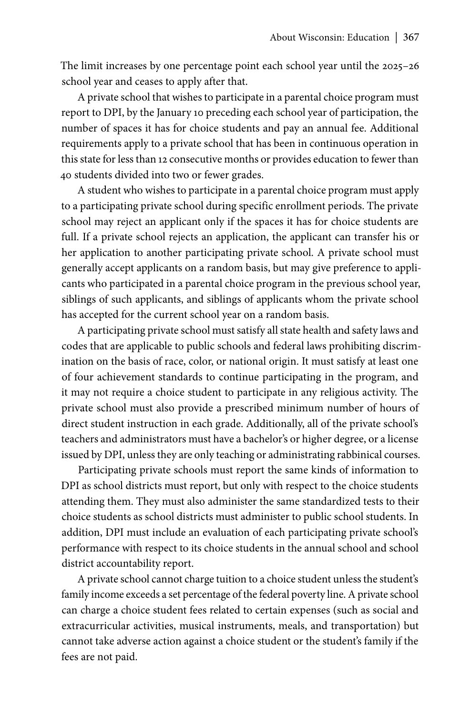The limit increases by one percentage point each school year until the 2025–26 school year and ceases to apply after that.

A private school that wishes to participate in a parental choice program must report to DPI, by the January 10 preceding each school year of participation, the number of spaces it has for choice students and pay an annual fee. Additional requirements apply to a private school that has been in continuous operation in this state for less than 12 consecutive months or provides education to fewer than 40 students divided into two or fewer grades.

A student who wishes to participate in a parental choice program must apply to a participating private school during specific enrollment periods. The private school may reject an applicant only if the spaces it has for choice students are full. If a private school rejects an application, the applicant can transfer his or her application to another participating private school. A private school must generally accept applicants on a random basis, but may give preference to applicants who participated in a parental choice program in the previous school year, siblings of such applicants, and siblings of applicants whom the private school has accepted for the current school year on a random basis.

A participating private school must satisfy all state health and safety laws and codes that are applicable to public schools and federal laws prohibiting discrimination on the basis of race, color, or national origin. It must satisfy at least one of four achievement standards to continue participating in the program, and it may not require a choice student to participate in any religious activity. The private school must also provide a prescribed minimum number of hours of direct student instruction in each grade. Additionally, all of the private school's teachers and administrators must have a bachelor's or higher degree, or a license issued by DPI, unless they are only teaching or administrating rabbinical courses.

Participating private schools must report the same kinds of information to DPI as school districts must report, but only with respect to the choice students attending them. They must also administer the same standardized tests to their choice students as school districts must administer to public school students. In addition, DPI must include an evaluation of each participating private school's performance with respect to its choice students in the annual school and school district accountability report.

A private school cannot charge tuition to a choice student unless the student's family income exceeds a set percentage of the federal poverty line. A private school can charge a choice student fees related to certain expenses (such as social and extracurricular activities, musical instruments, meals, and transportation) but cannot take adverse action against a choice student or the student's family if the fees are not paid.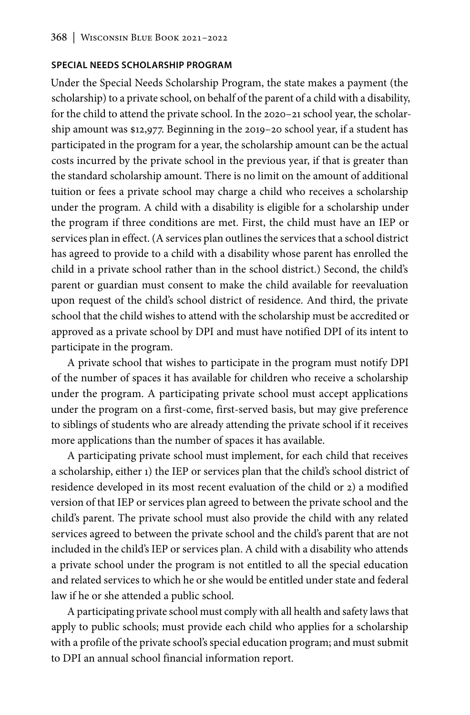#### **SPECIAL NEEDS SCHOLARSHIP PROGRAM**

Under the Special Needs Scholarship Program, the state makes a payment (the scholarship) to a private school, on behalf of the parent of a child with a disability, for the child to attend the private school. In the 2020–21 school year, the scholarship amount was \$12,977. Beginning in the 2019–20 school year, if a student has participated in the program for a year, the scholarship amount can be the actual costs incurred by the private school in the previous year, if that is greater than the standard scholarship amount. There is no limit on the amount of additional tuition or fees a private school may charge a child who receives a scholarship under the program. A child with a disability is eligible for a scholarship under the program if three conditions are met. First, the child must have an IEP or services plan in effect. (A services plan outlines the services that a school district has agreed to provide to a child with a disability whose parent has enrolled the child in a private school rather than in the school district.) Second, the child's parent or guardian must consent to make the child available for reevaluation upon request of the child's school district of residence. And third, the private school that the child wishes to attend with the scholarship must be accredited or approved as a private school by DPI and must have notified DPI of its intent to participate in the program.

A private school that wishes to participate in the program must notify DPI of the number of spaces it has available for children who receive a scholarship under the program. A participating private school must accept applications under the program on a first-come, first-served basis, but may give preference to siblings of students who are already attending the private school if it receives more applications than the number of spaces it has available.

A participating private school must implement, for each child that receives a scholarship, either 1) the IEP or services plan that the child's school district of residence developed in its most recent evaluation of the child or 2) a modified version of that IEP or services plan agreed to between the private school and the child's parent. The private school must also provide the child with any related services agreed to between the private school and the child's parent that are not included in the child's IEP or services plan. A child with a disability who attends a private school under the program is not entitled to all the special education and related services to which he or she would be entitled under state and federal law if he or she attended a public school.

A participating private school must comply with all health and safety laws that apply to public schools; must provide each child who applies for a scholarship with a profile of the private school's special education program; and must submit to DPI an annual school financial information report.